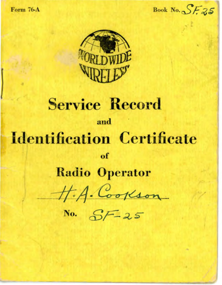**Form 76-A** 

Book No.  $S525$ 



# **Service Record** and **Identification Certificate**  $of$

## **Radio Operator**

H.A. Cookson

No.  $SF-25$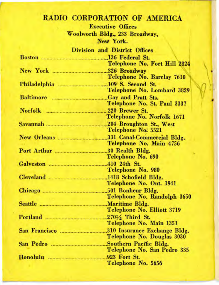### RADIO CORPORATION OF AMERICA

**Executive Offices** Woolworth Bldg., 233 Broadway, New York.

|                             | Division and District Offices       |
|-----------------------------|-------------------------------------|
|                             |                                     |
|                             | <b>Telephone No. Fort Hill 2824</b> |
|                             |                                     |
|                             | Telephone No. Barclay 7610          |
|                             | Philadelphia 2008. Second St.       |
|                             | Telephone No. Lombard 3829          |
|                             |                                     |
|                             | Telephone No. St. Paul 3337         |
|                             | Norfolk 220 Brewer St.              |
|                             | Telephone No. Norfolk 1671          |
|                             | Savannah 204 Broughton St., West    |
|                             | Telephone No: 5521                  |
|                             |                                     |
|                             | Telephone No. Main 4756             |
|                             | Port Arthur 30 Realth Bldg.         |
|                             | Telephone No. 690                   |
|                             |                                     |
|                             | Telephone No. 980                   |
|                             |                                     |
|                             | Telephone No. Ont. 1941             |
|                             |                                     |
| the company's company's the | Telephone No. Randolph 3650         |
|                             |                                     |
|                             | Telephone No. Elliott 3719          |
|                             | Portland $270\frac{1}{2}$ Third St. |
|                             | Telephone No. Main 1351             |
| San Francisco               | .310 Insurance Exchange Bldg.       |
|                             | Telephone No. Douglas 3030          |
|                             | Southern Pacific Bldg.              |
|                             | Telephone No. San Pedro 335         |
|                             | 923 Fort St.                        |
|                             | Telephone No. 5656                  |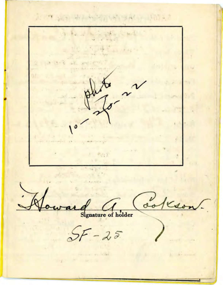A STEAMS AND ACCOUNT WALL BURN  $\mathbb{Z} \subset \mathbb{R}$ an about  $\mathcal{L}$  $-10 - 11 - 10$ are questioning **A PAGE** ¢ and the St

a transportation of the state of the state of the state of the state of the state of the state of the

ure of holder

 $-25$ 

The State of the Contract of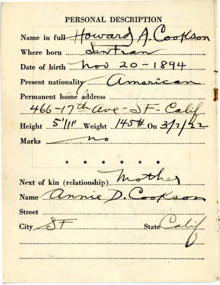PERSONAL DESCI  $o$ Name in full Howard  $\alpha$ ant Where born ...... Date of birth  $h \rightarrow 20 - 1894$ Permanent home address 466-17th ave-SF- Cali Height  $5''$ //'' Weight /45# On 3/1, **Marks** Next of kin (relationship) Name nnie **Street** City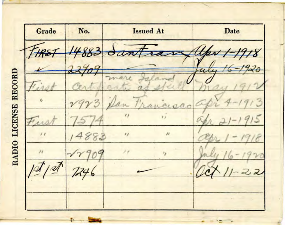Grade No. **Issued At** Date 18 RADIO LICENSE RECORD  $11$  $\overline{\phantom{a}}$  $\overline{\mathbf{z}}$ 18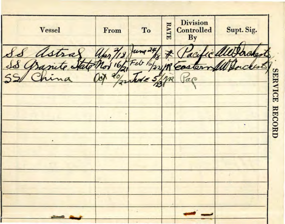| <b>Vessel</b> | From | To          | RATE | <b>Division</b><br>Controlled<br>By | Supt. Sig. |                |
|---------------|------|-------------|------|-------------------------------------|------------|----------------|
| astral        |      | $u_{mg}$ 24 |      |                                     |            |                |
|               |      | 16/22       |      |                                     |            |                |
|               |      |             |      |                                     |            | SERVICE RECORD |
|               |      |             |      |                                     |            |                |
|               |      |             |      |                                     |            |                |
|               |      |             |      |                                     | ٠          |                |
|               |      |             |      |                                     |            |                |
|               |      |             |      |                                     |            |                |
|               |      |             |      |                                     |            |                |
|               |      |             |      |                                     |            |                |
|               |      |             |      |                                     |            |                |
|               |      |             |      |                                     |            |                |
|               |      |             |      |                                     |            |                |
|               |      |             |      |                                     |            |                |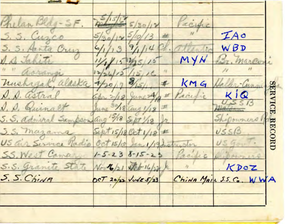|       |     |     |        |                   | <b>SER</b>       |             | ICE          |                               | RECORL         |                 |                         |                      |                                 |  |
|-------|-----|-----|--------|-------------------|------------------|-------------|--------------|-------------------------------|----------------|-----------------|-------------------------|----------------------|---------------------------------|--|
|       | IAO | WBD | narovo |                   |                  | KIQ         |              | Thepowners                    | USSI3          | $USG_{UV}$      | Bowners                 | KDOZ                 | ChiNA MAIL S.S. C. WWA          |  |
|       |     |     | MYN    |                   | KΜ<br>$\epsilon$ | aci         |              |                               |                | habuilder       | acific                  |                      |                                 |  |
|       | 攵   |     |        | $\epsilon_{\ell}$ | #                | 立           |              |                               |                |                 |                         |                      |                                 |  |
| 30/12 |     |     |        |                   |                  |             |              |                               |                | tan 1/19        | $1 - 5 - 238 - 15 - 25$ |                      | $2057$ $20/22$ $\sqrt{v455/23}$ |  |
|       |     |     |        |                   |                  |             |              |                               | Sept 15/18 Oct | Madio Oct 15/18 |                         | North /21 Stop 16/22 |                                 |  |
|       |     | Cry |        |                   | mushagak, alask  | D. D. astra | D. D. Quinal | S. S. admiral Sam<br>Davading | S.S. mazama    | air Service     | S.S. West Cama          | S.S. Granite State   | S.S. ChiNA                      |  |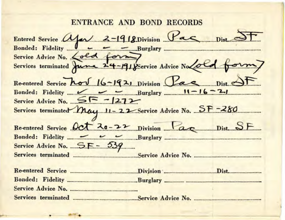#### ENTRANCE AND BOND RECORDS

Entered Service Apr 2-1918 Division Pac Dist Bonded: Fidelity <u>June 2006 Burglary</u> Service Advice No. <u>Lold</u> forme divice Advice No Lold form Re-entered Service how 16-1921 Division Pac Dist Bonded: Fidelity  $\sim$   $\sim$  Burglary  $11-16-21$ Service Advice No.  $5F - 1272$ Services terminated May 11-22 Service Advice No. SF-280 Re-entered Service Oct 20-22 Division Pac Dist SF Service Advice No.  $5F - 539$ Services terminated Service Advice No. Re-entered Service **Example 2018** Division Division Dist. Service Advice No.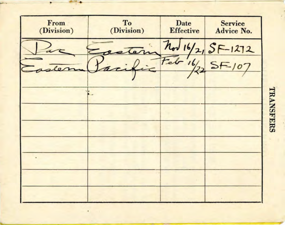

**TRANSFERS**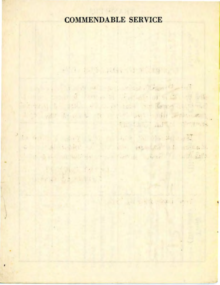### COMMENDABLE SERVICE

· 12 13 15 10 14 1 15 16 18 10 11

the third author persons

11 11 24 1 11

the state of the state of the state of the state of the state of the state of the state of the state of the state of the state of the state of the state of the state of the state of the state of the state of the state of t the bound foreman factor of a collection Sings with policies and the second construction I is not the cost of the last high problems

to an anticipation of the company of the second to the company of the company of the company of the company of the same memorial and complete was the substant

16 (OLC 14 FL) the Samuel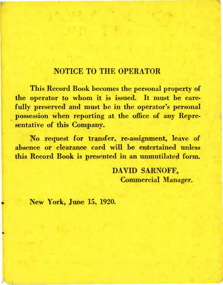#### NOTICE TO THE OPERATOR

This Record Book becomes the personal property of the operator to whom it is issued. It must be carefully preserved and must be in the operator's personal possession when reporting at the office of any Representative of this Company.

No request for transfer, re-assignment, leave of absence or clearance card will be entertained unless this Record Book is presented in an unmutilated form.

> DAVID SARNOFF, **Commercial Manager.**

New York, June 15, 1920.